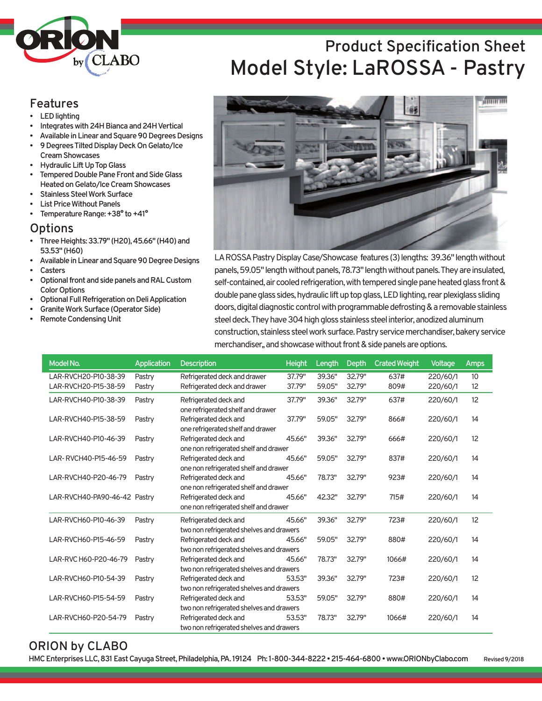

### **Features**

- **LED** lighting
- **Integrates with 24H Bianca and 24H Vertical**
- Available in Linear and Square 90 Degrees Designs
- **9DegreesTiltedDisplayDeckOnGelato/Ice CreamShowcases**
- **Hydraulic Lift Up Top Glass**
- **Tempered Double Pane Front and Side Glass HeatedonGelato/IceCreamShowcases**
- **Stainless Steel Work Surface**
- **List Price Without Panels**
- **Femperature Range: +38° to +41°**

#### **Options**

- **ThreeHeights:33.79" (H20),45.66" (H40)and 53.53" (H60)**
- Available in Linear and Square 90 Degree Designs
- **Casters**
- **Optional front and side panels and RAL Custom Color Options**
- **Optional Full Refrigeration on Deli Application**
- **Granite Work Surface (Operator Side)**
- **Remote Condensing Unit**





LAROSSA Pastry Display Case/Showcase features (3) lengths: 39.36" length without panels, 59.05" length without panels, 78.73" length without panels. They are insulated, self-contained, air cooled refrigeration, with tempered single pane heated glass front & double pane glass sides, hydraulic lift up top glass, LED lighting, rear plexiglass sliding doors, digital diagnostic control with programmable defrosting & a removable stainless steel deck. They have 304 high gloss stainless steel interior, anodized aluminum construction, stainless steel work surface. Pastry service merchandiser, bakery service merchandiser, and showcase without front & side panels are options.

| Model No.                    | <b>Application</b> | <b>Description</b>                                                | <b>Height</b> | Length | <b>Depth</b> | <b>Crated Weight</b> | <b>Voltage</b> | <b>Amps</b>     |
|------------------------------|--------------------|-------------------------------------------------------------------|---------------|--------|--------------|----------------------|----------------|-----------------|
| LAR-RVCH20-P10-38-39         | Pastry             | Refrigerated deck and drawer                                      | 37.79"        | 39.36" | 32.79"       | 637#                 | 220/60/1       | 10 <sup>°</sup> |
| LAR-RVCH20-P15-38-59         | Pastry             | Refrigerated deck and drawer                                      | 37.79"        | 59.05" | 32.79"       | 809#                 | 220/60/1       | 12              |
| LAR-RVCH40-P10-38-39         | Pastry             | Refrigerated deck and<br>one refrigerated shelf and drawer        | 37.79"        | 39.36" | 32.79"       | 637#                 | 220/60/1       | 12              |
| LAR-RVCH40-P15-38-59         | Pastry             | Refrigerated deck and<br>one refrigerated shelf and drawer        | 37.79"        | 59.05" | 32.79"       | 866#                 | 220/60/1       | 14              |
| LAR-RVCH40-P10-46-39         | Pastry             | Refrigerated deck and<br>one non refrigerated shelf and drawer    | 45.66"        | 39.36" | 32.79"       | 666#                 | 220/60/1       | 12              |
| LAR-RVCH40-P15-46-59         | Pastry             | Refrigerated deck and<br>one non refrigerated shelf and drawer    | 45.66"        | 59.05" | 32.79"       | 837#                 | 220/60/1       | 14              |
| LAR-RVCH40-P20-46-79         | Pastry             | Refrigerated deck and<br>one non refrigerated shelf and drawer    | 45.66"        | 78.73" | 32.79"       | 923#                 | 220/60/1       | 14              |
| LAR-RVCH40-PA90-46-42 Pastry |                    | Refrigerated deck and<br>one non refrigerated shelf and drawer    | 45.66"        | 42.32" | 32.79"       | 715#                 | 220/60/1       | 14              |
| LAR-RVCH60-P10-46-39         | Pastry             | Refrigerated deck and<br>two non refrigerated shelves and drawers | 45.66"        | 39.36" | 32.79"       | 723#                 | 220/60/1       | 12              |
| LAR-RVCH60-P15-46-59         | Pastry             | Refrigerated deck and<br>two non refrigerated shelves and drawers | 45.66"        | 59.05" | 32.79"       | 880#                 | 220/60/1       | 14              |
| LAR-RVC H60-P20-46-79        | Pastry             | Refrigerated deck and<br>two non refrigerated shelves and drawers | 45.66"        | 78.73" | 32.79"       | 1066#                | 220/60/1       | 14              |
| LAR-RVCH60-P10-54-39         | Pastry             | Refrigerated deck and<br>two non refrigerated shelves and drawers | 53.53"        | 39.36" | 32.79"       | 723#                 | 220/60/1       | 12              |
| LAR-RVCH60-P15-54-59         | Pastry             | Refrigerated deck and<br>two non refrigerated shelves and drawers | 53.53"        | 59.05" | 32.79"       | 880#                 | 220/60/1       | 14              |
| LAR-RVCH60-P20-54-79         | Pastry             | Refrigerated deck and<br>two non refrigerated shelves and drawers | 53.53"        | 78.73" | 32.79"       | 1066#                | 220/60/1       | 14              |

#### **ORION by CLABO**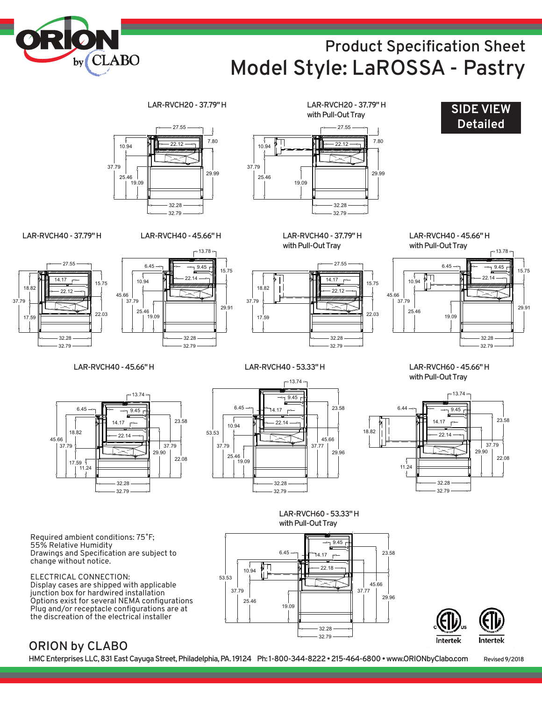# **Product Specification Sheet Model Style: LaROSSA - Pastry 24" D**



37.79



ELECTRICAL CONNECTION: Display cases are shipped with applicable junction box for hardwired installation Options exist for several NEMA configurations Plug and/or receptacle configurations are at the discreation of the electrical installer



Intertek **Intertek** 

### **ORION by CLABO**

HMC Enterprises LLC, 831 East Cayuga Street, Philadelphia, PA. 19124 Ph: 1-800-344-8222 • 215-464-6800 • www.ORIONbyClabo.com Revised 9/2018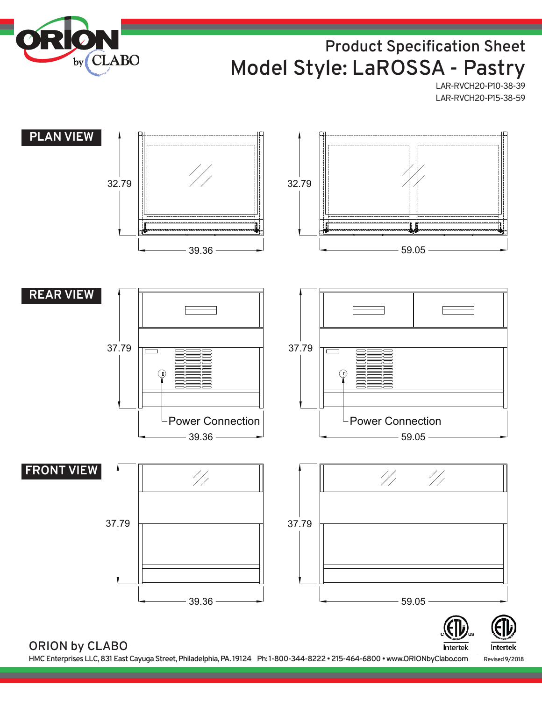

## **Product Specification Sheet Model Style: LaROSSA - Pastry**

LAR-RVCH20-P10-38-39 LAR-RVCH20-P15-38-59

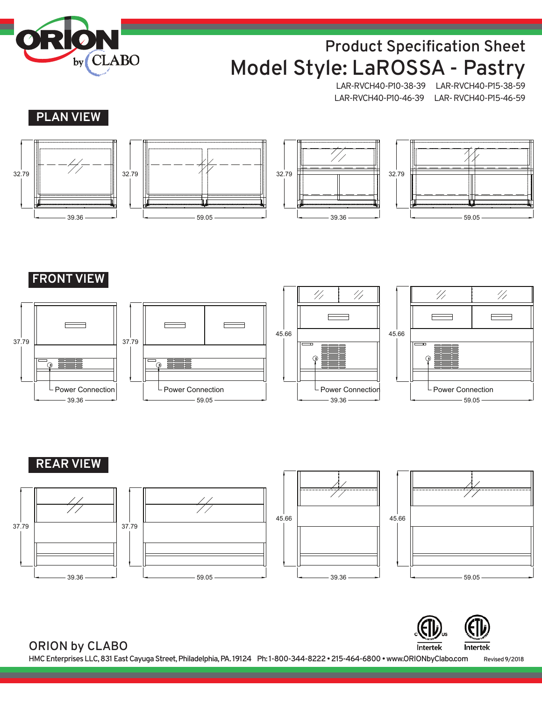

# **Product Specification Sheet Model Style: LaROSSA - Pastry**

LAR-RVCH40-P10-38-39 LAR-RVCH40-P15-38-59 LAR-RVCH40-P10-46-39 LAR-RVCH40-P15-46-59











**FRONT VIEW**









### **REAR VIEW**











**ORION by CLABO**

**HMCEnterprisesLLC,831EastCayugaStreet,Philadelphia,PA. 19124 Ph: 1-800-344-8222•215-464-6800•www.ORIONbyClabo.com Revised9/2018**